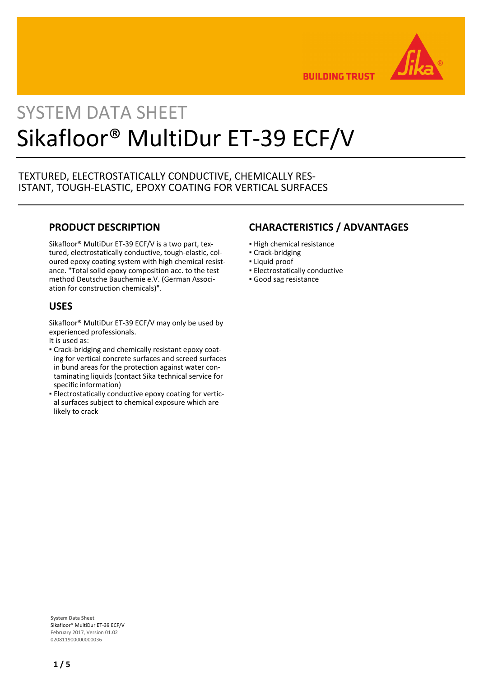

**BUILDING TRUST** 

# SYSTEM DATA SHEET Sikafloor® MultiDur ET-39 ECF/V

# TEXTURED, ELECTROSTATICALLY CONDUCTIVE, CHEMICALLY RES-ISTANT, TOUGH-ELASTIC, EPOXY COATING FOR VERTICAL SURFACES

# **PRODUCT DESCRIPTION**

Sikafloor® MultiDur ET-39 ECF/V is a two part, textured, electrostatically conductive, tough-elastic, coloured epoxy coating system with high chemical resistance. "Total solid epoxy composition acc. to the test method Deutsche Bauchemie e.V. (German Association for construction chemicals)".

# **USES**

Sikafloor® MultiDur ET-39 ECF/V may only be used by experienced professionals.

- It is used as:
- Crack-bridging and chemically resistant epoxy coat-▪ ing for vertical concrete surfaces and screed surfaces in bund areas for the protection against water contaminating liquids (contact Sika technical service for specific information)
- **Electrostatically conductive epoxy coating for vertic**al surfaces subject to chemical exposure which are likely to crack

# **CHARACTERISTICS / ADVANTAGES**

- **.** High chemical resistance
- Crack-bridging
- Liquid proof
- **Electrostatically conductive**
- Good sag resistance

**System Data Sheet** Sikafloor® MultiDur ET-39 ECF/V February 2017, Version 01.02 020811900000000036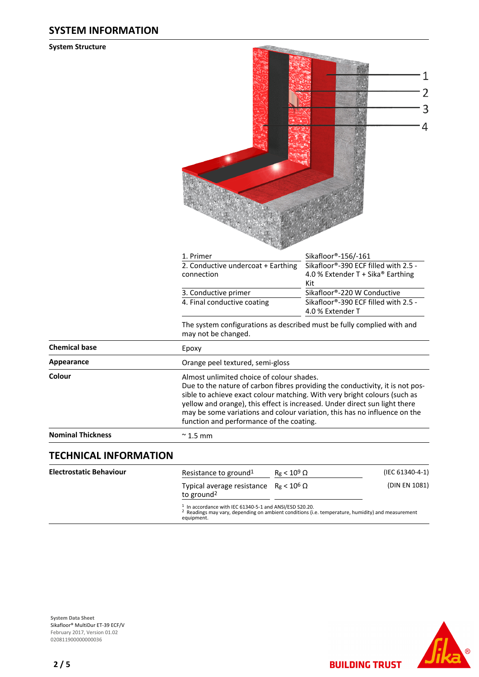# **SYSTEM INFORMATION**

#### **System Structure**

|                                | 1. Primer                                                                                                                                                                                                                                                                                                                                                                                                      | Sikafloor®-156/-161                                                              |  |  |
|--------------------------------|----------------------------------------------------------------------------------------------------------------------------------------------------------------------------------------------------------------------------------------------------------------------------------------------------------------------------------------------------------------------------------------------------------------|----------------------------------------------------------------------------------|--|--|
|                                | 2. Conductive undercoat + Earthing<br>connection                                                                                                                                                                                                                                                                                                                                                               | Sikafloor®-390 ECF filled with 2.5 -<br>4.0 % Extender T + Sika® Earthing<br>Kit |  |  |
|                                | 3. Conductive primer                                                                                                                                                                                                                                                                                                                                                                                           | Sikafloor®-220 W Conductive                                                      |  |  |
|                                | 4. Final conductive coating                                                                                                                                                                                                                                                                                                                                                                                    | Sikafloor®-390 ECF filled with 2.5 -<br>4.0 % Extender T                         |  |  |
|                                | The system configurations as described must be fully complied with and<br>may not be changed.                                                                                                                                                                                                                                                                                                                  |                                                                                  |  |  |
| <b>Chemical base</b>           | Epoxy                                                                                                                                                                                                                                                                                                                                                                                                          |                                                                                  |  |  |
| <b>Appearance</b>              | Orange peel textured, semi-gloss                                                                                                                                                                                                                                                                                                                                                                               |                                                                                  |  |  |
| Colour                         | Almost unlimited choice of colour shades.<br>Due to the nature of carbon fibres providing the conductivity, it is not pos-<br>sible to achieve exact colour matching. With very bright colours (such as<br>yellow and orange), this effect is increased. Under direct sun light there<br>may be some variations and colour variation, this has no influence on the<br>function and performance of the coating. |                                                                                  |  |  |
| <b>Nominal Thickness</b>       | $\approx$ 1.5 mm                                                                                                                                                                                                                                                                                                                                                                                               |                                                                                  |  |  |
| <b>TECHNICAL INFORMATION</b>   |                                                                                                                                                                                                                                                                                                                                                                                                                |                                                                                  |  |  |
| <b>Electrostatic Behaviour</b> | $R_g < 10^9$ $\Omega$<br>Resistance to ground <sup>1</sup>                                                                                                                                                                                                                                                                                                                                                     | (IEC 61340-4-1)                                                                  |  |  |

**Contractor** 

Typical average resistance  $R_g < 10^6$  Ω (DIN EN 1081) to ground<sup>2</sup>

1 In accordance with IEC 61340-5-1 and ANSI/ESD S20.20. 2 Readings may vary, depending on ambient conditions (i.e. temperature, humidity) and measurement equipment.



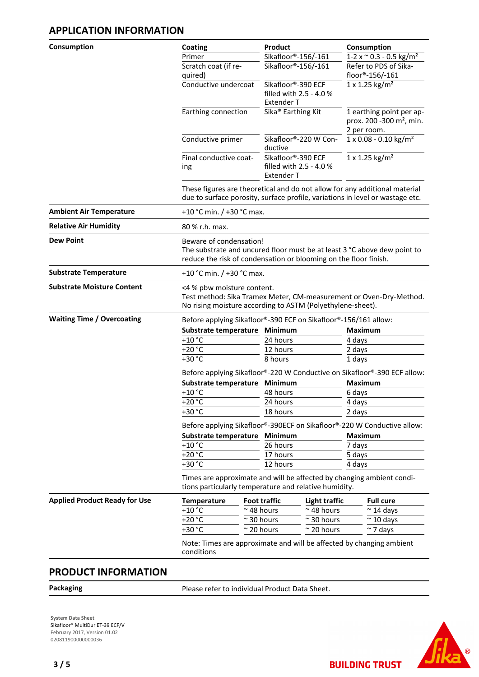# **APPLICATION INFORMATION**

| Consumption                          | Coating                                                                  |                                                                                                                                                                         | Product                                                            |                                  | Consumption                                                                     |                |  |
|--------------------------------------|--------------------------------------------------------------------------|-------------------------------------------------------------------------------------------------------------------------------------------------------------------------|--------------------------------------------------------------------|----------------------------------|---------------------------------------------------------------------------------|----------------|--|
|                                      | Primer                                                                   |                                                                                                                                                                         | Sikafloor®-156/-161                                                |                                  | $1-2 \times \degree 0.3 - 0.5 \text{ kg/m}^2$                                   |                |  |
|                                      | Scratch coat (if re-<br>quired)                                          |                                                                                                                                                                         | Sikafloor®-156/-161                                                |                                  | Refer to PDS of Sika-<br>floor®-156/-161                                        |                |  |
|                                      | Conductive undercoat                                                     |                                                                                                                                                                         | Sikafloor®-390 ECF<br>filled with 2.5 - 4.0 %<br><b>Extender T</b> |                                  | $1 \times 1.25$ kg/m <sup>2</sup>                                               |                |  |
|                                      |                                                                          | Sika <sup>®</sup> Earthing Kit<br>Earthing connection                                                                                                                   |                                                                    |                                  | 1 earthing point per ap-<br>prox. 200 -300 m <sup>2</sup> , min.<br>2 per room. |                |  |
|                                      | Conductive primer                                                        |                                                                                                                                                                         | Sikafloor®-220 W Con-<br>ductive                                   |                                  | 1 x 0.08 - 0.10 kg/m <sup>2</sup>                                               |                |  |
|                                      | Final conductive coat-<br>ing                                            |                                                                                                                                                                         | Sikafloor®-390 ECF<br>filled with 2.5 - 4.0 %<br><b>Extender T</b> |                                  | 1 x 1.25 kg/m <sup>2</sup>                                                      |                |  |
|                                      |                                                                          | These figures are theoretical and do not allow for any additional material<br>due to surface porosity, surface profile, variations in level or wastage etc.             |                                                                    |                                  |                                                                                 |                |  |
| <b>Ambient Air Temperature</b>       |                                                                          | +10 °C min. / +30 °C max.                                                                                                                                               |                                                                    |                                  |                                                                                 |                |  |
| <b>Relative Air Humidity</b>         | 80 % r.h. max.                                                           |                                                                                                                                                                         |                                                                    |                                  |                                                                                 |                |  |
| <b>Dew Point</b>                     |                                                                          | Beware of condensation!<br>The substrate and uncured floor must be at least 3 °C above dew point to<br>reduce the risk of condensation or blooming on the floor finish. |                                                                    |                                  |                                                                                 |                |  |
| <b>Substrate Temperature</b>         |                                                                          | +10 °C min. / +30 °C max.                                                                                                                                               |                                                                    |                                  |                                                                                 |                |  |
| <b>Substrate Moisture Content</b>    |                                                                          | <4 % pbw moisture content.<br>Test method: Sika Tramex Meter, CM-measurement or Oven-Dry-Method.<br>No rising moisture according to ASTM (Polyethylene-sheet).          |                                                                    |                                  |                                                                                 |                |  |
| <b>Waiting Time / Overcoating</b>    | Before applying Sikafloor®-390 ECF on Sikafloor®-156/161 allow:          |                                                                                                                                                                         |                                                                    |                                  |                                                                                 |                |  |
|                                      |                                                                          | Substrate temperature<br>$+10$ °C<br>$+20 °C$                                                                                                                           |                                                                    | <b>Minimum</b>                   |                                                                                 | <b>Maximum</b> |  |
|                                      |                                                                          |                                                                                                                                                                         |                                                                    | 24 hours                         |                                                                                 | 4 days         |  |
|                                      |                                                                          |                                                                                                                                                                         |                                                                    | 12 hours                         |                                                                                 | 2 days         |  |
|                                      | $+30 °C$                                                                 | 8 hours                                                                                                                                                                 |                                                                    |                                  | 1 days                                                                          |                |  |
|                                      | Before applying Sikafloor®-220 W Conductive on Sikafloor®-390 ECF allow: |                                                                                                                                                                         |                                                                    |                                  |                                                                                 |                |  |
|                                      |                                                                          | Substrate temperature                                                                                                                                                   |                                                                    | Minimum                          |                                                                                 | <b>Maximum</b> |  |
|                                      | $+10 °C$                                                                 |                                                                                                                                                                         |                                                                    | 48 hours                         |                                                                                 | 6 days         |  |
| $+20 °C$                             |                                                                          |                                                                                                                                                                         | 24 hours                                                           |                                  | 4 days                                                                          |                |  |
|                                      | +30 °C                                                                   |                                                                                                                                                                         |                                                                    | 18 hours                         |                                                                                 | 2 days         |  |
|                                      |                                                                          | Before applying Sikafloor®-390ECF on Sikafloor®-220 W Conductive allow:                                                                                                 |                                                                    |                                  |                                                                                 |                |  |
|                                      |                                                                          | Substrate temperature                                                                                                                                                   |                                                                    | Minimum                          |                                                                                 | <b>Maximum</b> |  |
|                                      |                                                                          | $+10$ °C                                                                                                                                                                |                                                                    | 26 hours<br>17 hours             |                                                                                 | 7 days         |  |
|                                      |                                                                          | $+20 °C$                                                                                                                                                                |                                                                    |                                  | 5 days                                                                          |                |  |
|                                      |                                                                          | +30 °C<br>12 hours<br>4 days<br>Times are approximate and will be affected by changing ambient condi-<br>tions particularly temperature and relative humidity.          |                                                                    |                                  |                                                                                 |                |  |
| <b>Applied Product Ready for Use</b> | <b>Temperature</b>                                                       |                                                                                                                                                                         | <b>Foot traffic</b>                                                | <b>Light traffic</b>             | <b>Full cure</b>                                                                |                |  |
|                                      | $+10$ °C                                                                 |                                                                                                                                                                         | $~\sim$ 48 hours                                                   | $\sim$ 48 hours                  | $\approx$ 14 days                                                               |                |  |
|                                      | $+20 °C$                                                                 |                                                                                                                                                                         | $\approx$ 30 hours                                                 | 30 hours                         | $\approx$ 10 days                                                               |                |  |
|                                      | +30 °C                                                                   | $\approx$ 20 hours                                                                                                                                                      |                                                                    | $\sim$ 20 hours<br>$\sim$ 7 days |                                                                                 |                |  |
|                                      | conditions                                                               | Note: Times are approximate and will be affected by changing ambient                                                                                                    |                                                                    |                                  |                                                                                 |                |  |

# **PRODUCT INFORMATION**

Packaging **Packaging Please refer to individual Product Data Sheet.** 

**System Data Sheet** Sikafloor® MultiDur ET-39 ECF/V February 2017, Version 01.02 0208119000000000036

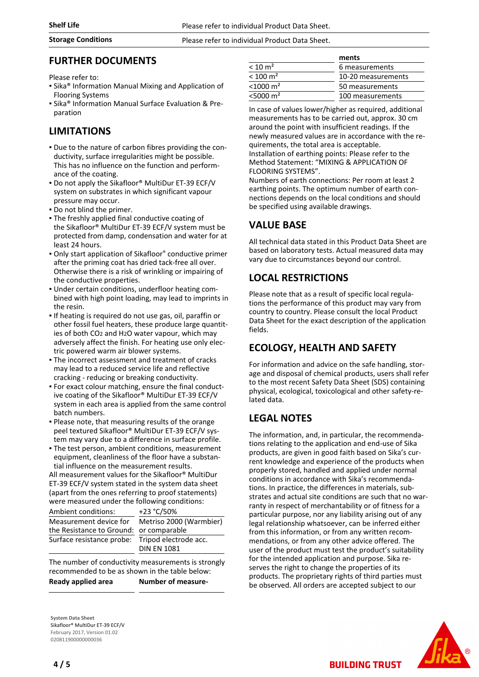### **Storage Conditions** Please refer to individual Product Data Sheet.

## **FURTHER DOCUMENTS**

Please refer to:

- **.** Sika<sup>®</sup> Information Manual Mixing and Application of Flooring Systems
- Sika® Information Manual Surface Evaluation & Preparation

# **LIMITATIONS**

- Due to the nature of carbon fibres providing the con-▪ ductivity, surface irregularities might be possible. This has no influence on the function and performance of the coating.
- **Do not apply the Sikafloor® MultiDur ET-39 ECF/V** system on substrates in which significant vapour pressure may occur.
- Do not blind the primer.
- The freshly applied final conductive coating of the Sikafloor® MultiDur ET-39 ECF/V system must be protected from damp, condensation and water for at least 24 hours.
- Only start application of Sikafloor® conductive primer after the priming coat has dried tack-free all over. Otherwise there is a risk of wrinkling or impairing of the conductive properties.
- Under certain conditions, underfloor heating com-▪ bined with high point loading, may lead to imprints in the resin.
- If heating is required do not use gas, oil, paraffin or other fossil fuel heaters, these produce large quantities of both CO2 and H2O water vapour, which may adversely affect the finish. For heating use only electric powered warm air blower systems.
- **The incorrect assessment and treatment of cracks** may lead to a reduced service life and reflective cracking - reducing or breaking conductivity.
- For exact colour matching, ensure the final conduct-▪ ive coating of the Sikafloor® MultiDur ET-39 ECF/V system in each area is applied from the same control batch numbers.
- Please note, that measuring results of the orange peel textured Sikafloor® MultiDur ET-39 ECF/V system may vary due to a difference in surface profile.
- **The test person, ambient conditions, measurement** equipment, cleanliness of the floor have a substantial influence on the measurement results.

All measurement values for the Sikafloor® MultiDur ET-39 ECF/V system stated in the system data sheet (apart from the ones referring to proof statements) were measured under the following conditions:

| Ambient conditions:                     | +23 °C/50%              |
|-----------------------------------------|-------------------------|
| Measurement device for                  | Metriso 2000 (Warmbier) |
| the Resistance to Ground: or comparable |                         |
| Surface resistance probe:               | Tripod electrode acc.   |
|                                         | <b>DIN EN 1081</b>      |

The number of conductivity measurements is strongly recommended to be as shown in the table below: **Ready applied area Number of measure-**

**System Data Sheet** Sikafloor® MultiDur ET-39 ECF/V February 2017, Version 01.02 020811900000000036

|                         | ments              |  |
|-------------------------|--------------------|--|
| $<$ 10 m <sup>2</sup>   | 6 measurements     |  |
| $< 100 \text{ m}^2$     | 10-20 measurements |  |
| $<$ 1000 m <sup>2</sup> | 50 measurements    |  |
| $<$ 5000 m <sup>2</sup> | 100 measurements   |  |

In case of values lower/higher as required, additional measurements has to be carried out, approx. 30 cm around the point with insufficient readings. If the newly measured values are in accordance with the requirements, the total area is acceptable. Installation of earthing points: Please refer to the Method Statement: "MIXING & APPLICATION OF FLOORING SYSTEMS".

Numbers of earth connections: Per room at least 2 earthing points. The optimum number of earth connections depends on the local conditions and should be specified using available drawings.

# **VALUE BASE**

All technical data stated in this Product Data Sheet are based on laboratory tests. Actual measured data may vary due to circumstances beyond our control.

# **LOCAL RESTRICTIONS**

Please note that as a result of specific local regulations the performance of this product may vary from country to country. Please consult the local Product Data Sheet for the exact description of the application fields.

# **ECOLOGY, HEALTH AND SAFETY**

For information and advice on the safe handling, storage and disposal of chemical products, users shall refer to the most recent Safety Data Sheet (SDS) containing physical, ecological, toxicological and other safety-related data.

# **LEGAL NOTES**

The information, and, in particular, the recommendations relating to the application and end-use of Sika products, are given in good faith based on Sika's current knowledge and experience of the products when properly stored, handled and applied under normal conditions in accordance with Sika's recommendations. In practice, the differences in materials, substrates and actual site conditions are such that no warranty in respect of merchantability or of fitness for a particular purpose, nor any liability arising out of any legal relationship whatsoever, can be inferred either from this information, or from any written recommendations, or from any other advice offered. The user of the product must test the product's suitability for the intended application and purpose. Sika reserves the right to change the properties of its products. The proprietary rights of third parties must be observed. All orders are accepted subject to our